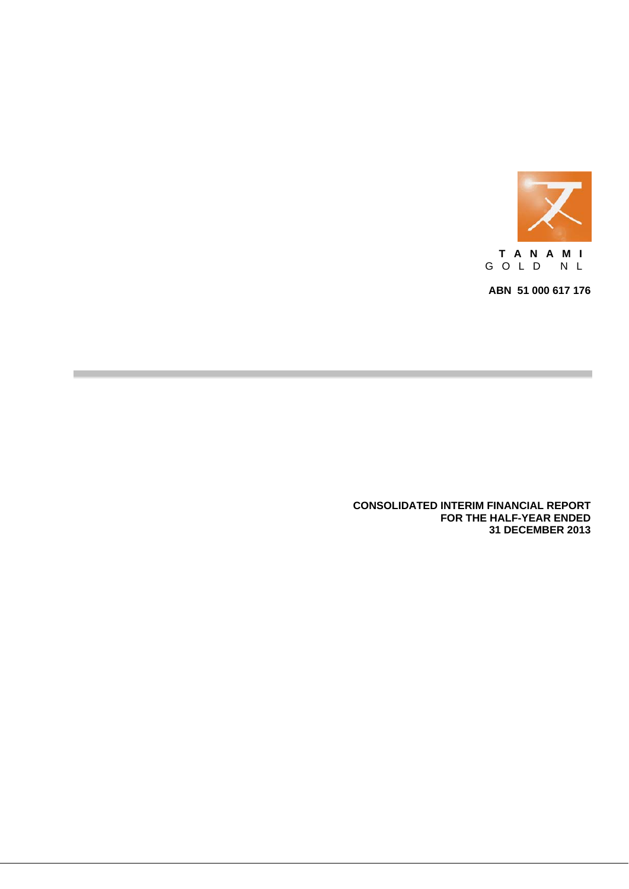

**ABN 51 000 617 176** 

**CONSOLIDATED INTERIM FINANCIAL REPORT FOR THE HALF-YEAR ENDED 31 DECEMBER 2013**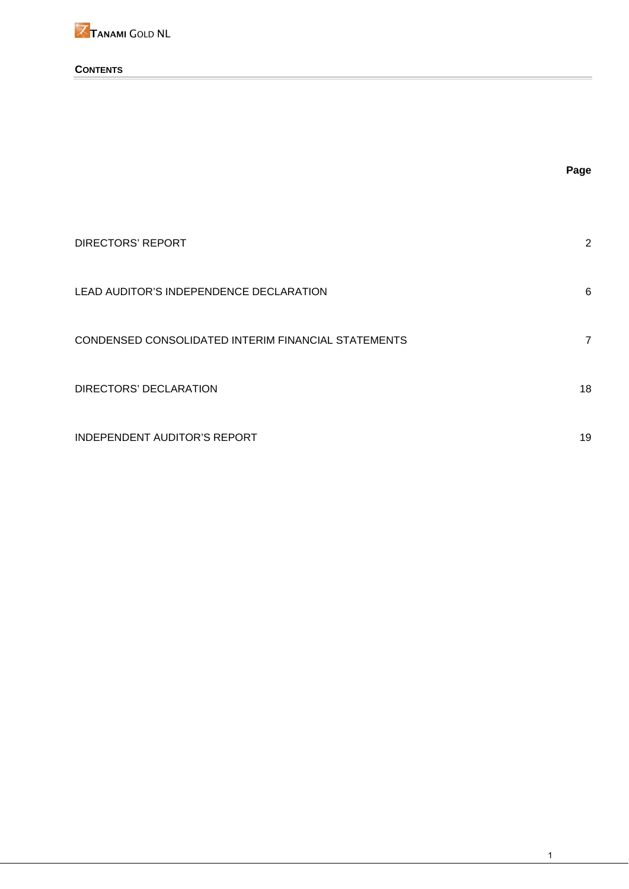

## **CONTENTS**

|                                                     | Page           |
|-----------------------------------------------------|----------------|
|                                                     |                |
| <b>DIRECTORS' REPORT</b>                            | 2              |
| LEAD AUDITOR'S INDEPENDENCE DECLARATION             | 6              |
| CONDENSED CONSOLIDATED INTERIM FINANCIAL STATEMENTS | $\overline{7}$ |
| DIRECTORS' DECLARATION                              | 18             |
| <b>INDEPENDENT AUDITOR'S REPORT</b>                 | 19             |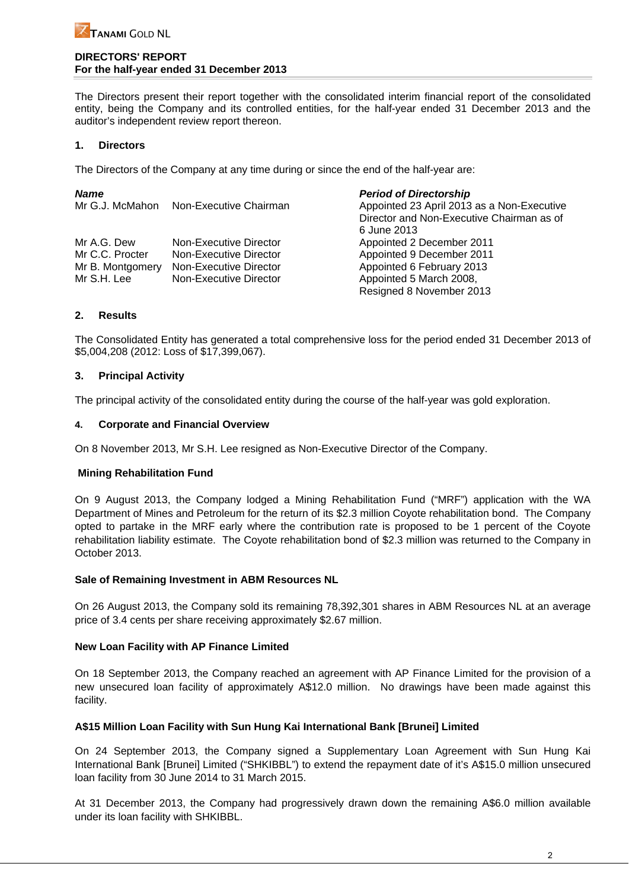### **DIRECTORS' REPORT For the half-year ended 31 December 2013**

The Directors present their report together with the consolidated interim financial report of the consolidated entity, being the Company and its controlled entities, for the half-year ended 31 December 2013 and the auditor's independent review report thereon.

## **1. Directors**

The Directors of the Company at any time during or since the end of the half-year are:

| <b>Name</b>      |                        | <b>Period of Directorship</b>              |
|------------------|------------------------|--------------------------------------------|
| Mr G.J. McMahon  | Non-Executive Chairman | Appointed 23 April 2013 as a Non-Executive |
|                  |                        | Director and Non-Executive Chairman as of  |
|                  |                        | 6 June 2013                                |
| Mr A.G. Dew      | Non-Executive Director | Appointed 2 December 2011                  |
| Mr C.C. Procter  | Non-Executive Director | Appointed 9 December 2011                  |
| Mr B. Montgomery | Non-Executive Director | Appointed 6 February 2013                  |
| Mr S.H. Lee      | Non-Executive Director | Appointed 5 March 2008,                    |
|                  |                        | Resigned 8 November 2013                   |

## **2. Results**

The Consolidated Entity has generated a total comprehensive loss for the period ended 31 December 2013 of \$5,004,208 (2012: Loss of \$17,399,067).

## **3. Principal Activity**

The principal activity of the consolidated entity during the course of the half-year was gold exploration.

## **4. Corporate and Financial Overview**

On 8 November 2013, Mr S.H. Lee resigned as Non-Executive Director of the Company.

## **Mining Rehabilitation Fund**

On 9 August 2013, the Company lodged a Mining Rehabilitation Fund ("MRF") application with the WA Department of Mines and Petroleum for the return of its \$2.3 million Coyote rehabilitation bond. The Company opted to partake in the MRF early where the contribution rate is proposed to be 1 percent of the Coyote rehabilitation liability estimate. The Coyote rehabilitation bond of \$2.3 million was returned to the Company in October 2013.

## **Sale of Remaining Investment in ABM Resources NL**

On 26 August 2013, the Company sold its remaining 78,392,301 shares in ABM Resources NL at an average price of 3.4 cents per share receiving approximately \$2.67 million.

## **New Loan Facility with AP Finance Limited**

On 18 September 2013, the Company reached an agreement with AP Finance Limited for the provision of a new unsecured loan facility of approximately A\$12.0 million. No drawings have been made against this facility.

## **A\$15 Million Loan Facility with Sun Hung Kai International Bank [Brunei] Limited**

On 24 September 2013, the Company signed a Supplementary Loan Agreement with Sun Hung Kai International Bank [Brunei] Limited ("SHKIBBL") to extend the repayment date of it's A\$15.0 million unsecured loan facility from 30 June 2014 to 31 March 2015.

At 31 December 2013, the Company had progressively drawn down the remaining A\$6.0 million available under its loan facility with SHKIBBL.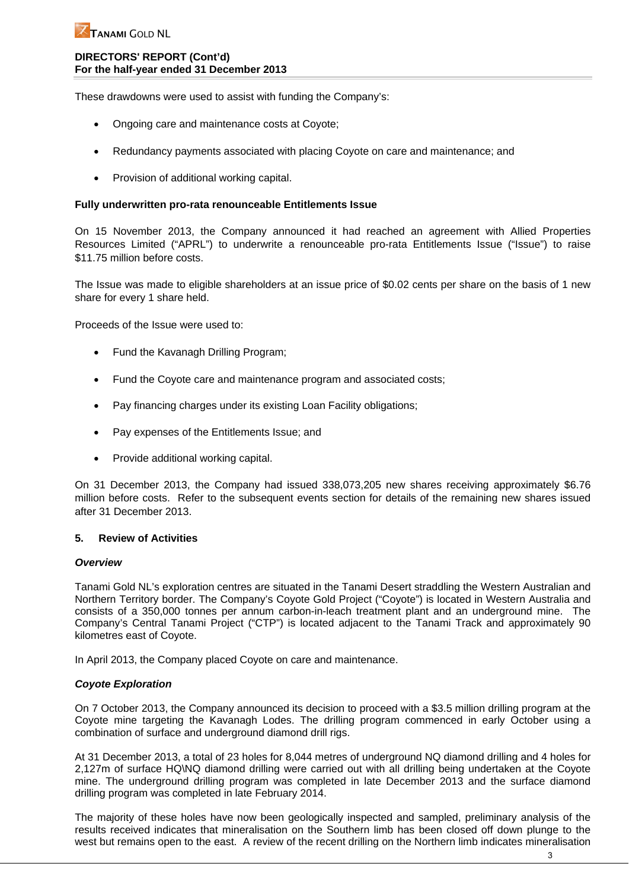### **DIRECTORS' REPORT (Cont'd) For the half-year ended 31 December 2013**

These drawdowns were used to assist with funding the Company's:

- Ongoing care and maintenance costs at Coyote:
- Redundancy payments associated with placing Coyote on care and maintenance; and
- Provision of additional working capital.

### **Fully underwritten pro-rata renounceable Entitlements Issue**

On 15 November 2013, the Company announced it had reached an agreement with Allied Properties Resources Limited ("APRL") to underwrite a renounceable pro-rata Entitlements Issue ("Issue") to raise \$11.75 million before costs.

The Issue was made to eligible shareholders at an issue price of \$0.02 cents per share on the basis of 1 new share for every 1 share held.

Proceeds of the Issue were used to:

- Fund the Kavanagh Drilling Program;
- Fund the Coyote care and maintenance program and associated costs;
- Pay financing charges under its existing Loan Facility obligations;
- Pay expenses of the Entitlements Issue; and
- Provide additional working capital.

On 31 December 2013, the Company had issued 338,073,205 new shares receiving approximately \$6.76 million before costs. Refer to the subsequent events section for details of the remaining new shares issued after 31 December 2013.

#### **5. Review of Activities**

#### *Overview*

Tanami Gold NL's exploration centres are situated in the Tanami Desert straddling the Western Australian and Northern Territory border. The Company's Coyote Gold Project ("Coyote") is located in Western Australia and consists of a 350,000 tonnes per annum carbon-in-leach treatment plant and an underground mine. The Company's Central Tanami Project ("CTP") is located adjacent to the Tanami Track and approximately 90 kilometres east of Coyote.

In April 2013, the Company placed Coyote on care and maintenance.

## *Coyote Exploration*

On 7 October 2013, the Company announced its decision to proceed with a \$3.5 million drilling program at the Coyote mine targeting the Kavanagh Lodes. The drilling program commenced in early October using a combination of surface and underground diamond drill rigs.

At 31 December 2013, a total of 23 holes for 8,044 metres of underground NQ diamond drilling and 4 holes for 2,127m of surface HQ\NQ diamond drilling were carried out with all drilling being undertaken at the Coyote mine. The underground drilling program was completed in late December 2013 and the surface diamond drilling program was completed in late February 2014.

The majority of these holes have now been geologically inspected and sampled, preliminary analysis of the results received indicates that mineralisation on the Southern limb has been closed off down plunge to the west but remains open to the east. A review of the recent drilling on the Northern limb indicates mineralisation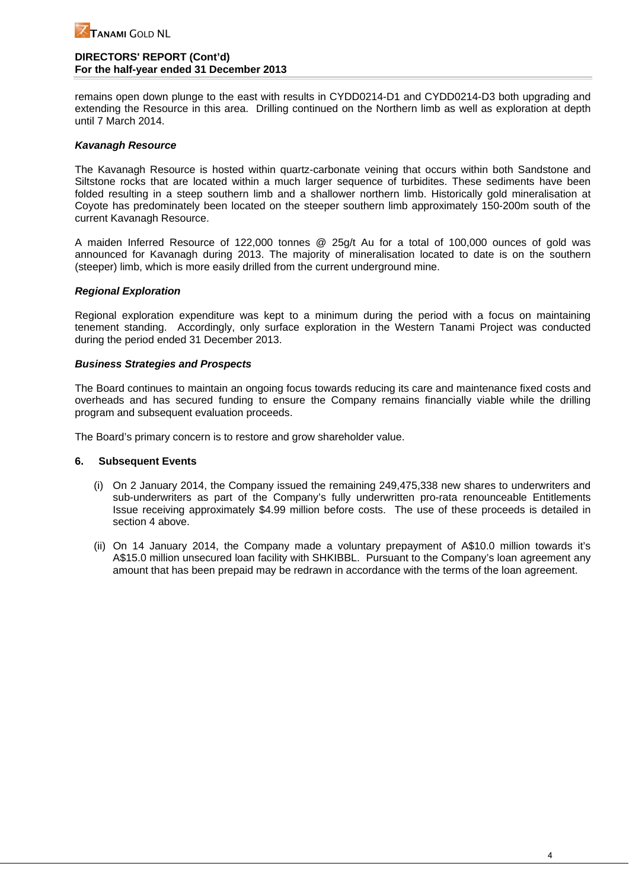### **DIRECTORS' REPORT (Cont'd) For the half-year ended 31 December 2013**

remains open down plunge to the east with results in CYDD0214-D1 and CYDD0214-D3 both upgrading and extending the Resource in this area. Drilling continued on the Northern limb as well as exploration at depth until 7 March 2014.

## *Kavanagh Resource*

The Kavanagh Resource is hosted within quartz-carbonate veining that occurs within both Sandstone and Siltstone rocks that are located within a much larger sequence of turbidites. These sediments have been folded resulting in a steep southern limb and a shallower northern limb. Historically gold mineralisation at Coyote has predominately been located on the steeper southern limb approximately 150-200m south of the current Kavanagh Resource.

A maiden Inferred Resource of 122,000 tonnes @ 25g/t Au for a total of 100,000 ounces of gold was announced for Kavanagh during 2013. The majority of mineralisation located to date is on the southern (steeper) limb, which is more easily drilled from the current underground mine.

### *Regional Exploration*

Regional exploration expenditure was kept to a minimum during the period with a focus on maintaining tenement standing. Accordingly, only surface exploration in the Western Tanami Project was conducted during the period ended 31 December 2013.

### *Business Strategies and Prospects*

The Board continues to maintain an ongoing focus towards reducing its care and maintenance fixed costs and overheads and has secured funding to ensure the Company remains financially viable while the drilling program and subsequent evaluation proceeds.

The Board's primary concern is to restore and grow shareholder value.

#### **6. Subsequent Events**

- (i) On 2 January 2014, the Company issued the remaining 249,475,338 new shares to underwriters and sub-underwriters as part of the Company's fully underwritten pro-rata renounceable Entitlements Issue receiving approximately \$4.99 million before costs. The use of these proceeds is detailed in section 4 above.
- (ii) On 14 January 2014, the Company made a voluntary prepayment of A\$10.0 million towards it's A\$15.0 million unsecured loan facility with SHKIBBL. Pursuant to the Company's loan agreement any amount that has been prepaid may be redrawn in accordance with the terms of the loan agreement.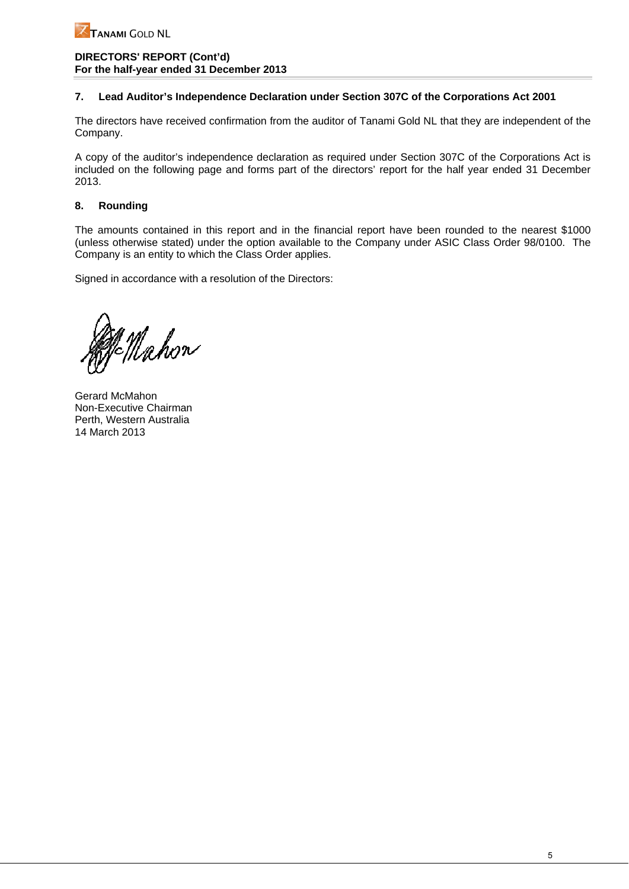### **DIRECTORS' REPORT (Cont'd) For the half-year ended 31 December 2013**

## **7. Lead Auditor's Independence Declaration under Section 307C of the Corporations Act 2001**

The directors have received confirmation from the auditor of Tanami Gold NL that they are independent of the Company.

A copy of the auditor's independence declaration as required under Section 307C of the Corporations Act is included on the following page and forms part of the directors' report for the half year ended 31 December 2013.

## **8. Rounding**

The amounts contained in this report and in the financial report have been rounded to the nearest \$1000 (unless otherwise stated) under the option available to the Company under ASIC Class Order 98/0100. The Company is an entity to which the Class Order applies.

Signed in accordance with a resolution of the Directors:

g nj<br>=Mahon

Gerard McMahon Non-Executive Chairman Perth, Western Australia 14 March 2013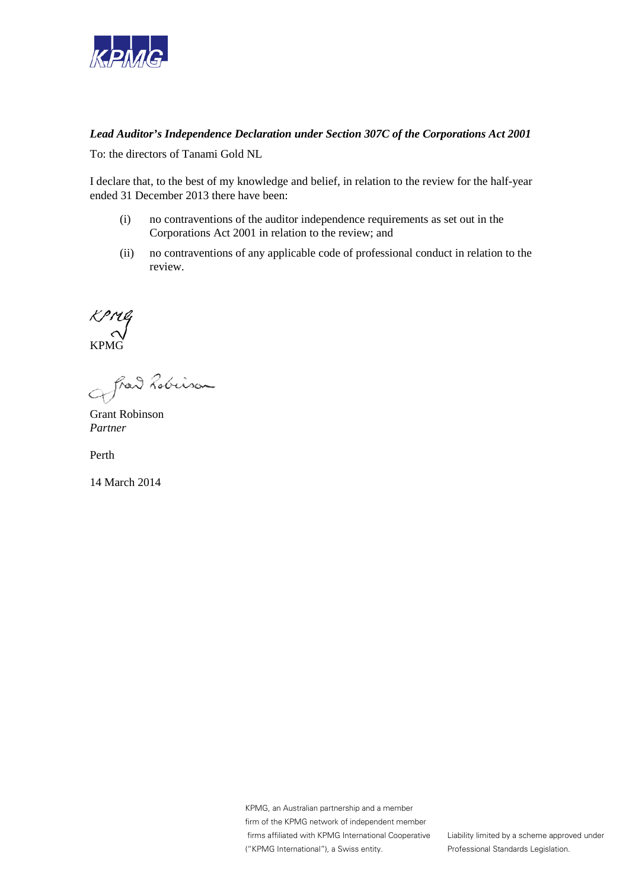

# *Lead Auditor's Independence Declaration under Section 307C of the Corporations Act 2001*

To: the directors of Tanami Gold NL

I declare that, to the best of my knowledge and belief, in relation to the review for the half-year ended 31 December 2013 there have been:

- (i) no contraventions of the auditor independence requirements as set out in the Corporations Act 2001 in relation to the review; and
- (ii) no contraventions of any applicable code of professional conduct in relation to the review.

KPMG

fred Lobinson

Grant Robinson *Partner*

Perth

14 March 2014

KPMG, an Australian partnership and a member firm of the KPMG network of independent member firms affiliated with KPMG International Cooperative ("KPMG International"), a Swiss entity.

Liability limited by a scheme approved under Professional Standards Legislation.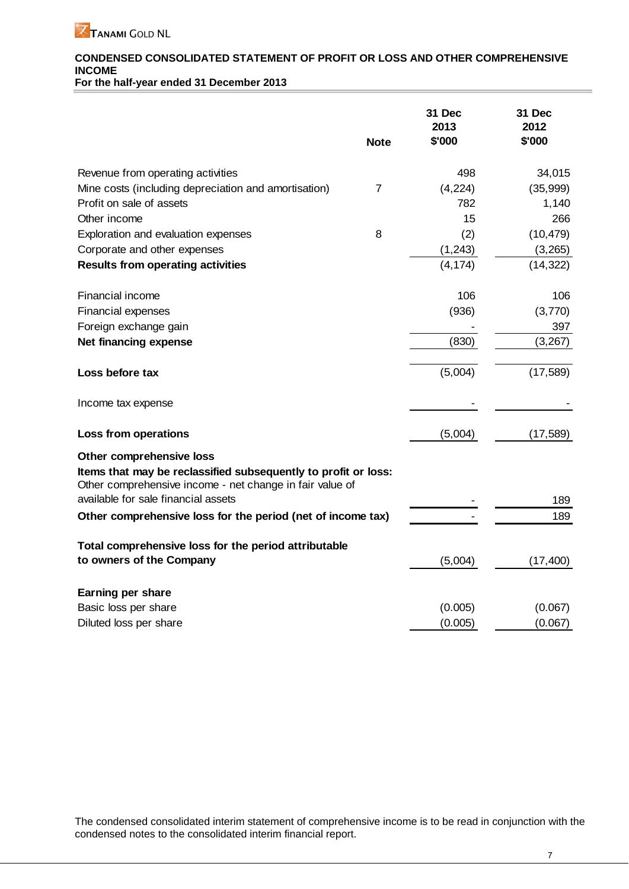# **CONDENSED CONSOLIDATED STATEMENT OF PROFIT OR LOSS AND OTHER COMPREHENSIVE INCOME**

**For the half-year ended 31 December 2013** 

|                                                                                                                                                        | <b>Note</b> | 31 Dec<br>2013<br>\$'000 | 31 Dec<br>2012<br>\$'000 |
|--------------------------------------------------------------------------------------------------------------------------------------------------------|-------------|--------------------------|--------------------------|
| Revenue from operating activities                                                                                                                      |             | 498                      | 34,015                   |
| Mine costs (including depreciation and amortisation)                                                                                                   | 7           | (4, 224)                 | (35,999)                 |
| Profit on sale of assets                                                                                                                               |             | 782                      | 1,140                    |
| Other income                                                                                                                                           |             | 15                       | 266                      |
| Exploration and evaluation expenses                                                                                                                    | 8           | (2)                      | (10, 479)                |
| Corporate and other expenses                                                                                                                           |             | (1, 243)                 | (3,265)                  |
| <b>Results from operating activities</b>                                                                                                               |             | (4, 174)                 | (14, 322)                |
| Financial income                                                                                                                                       |             | 106                      | 106                      |
| Financial expenses                                                                                                                                     |             | (936)                    | (3,770)                  |
| Foreign exchange gain                                                                                                                                  |             |                          | 397                      |
| Net financing expense                                                                                                                                  |             | (830)                    | (3,267)                  |
| Loss before tax                                                                                                                                        |             | (5,004)                  | (17, 589)                |
| Income tax expense                                                                                                                                     |             |                          |                          |
| Loss from operations                                                                                                                                   |             | (5,004)                  | (17, 589)                |
| Other comprehensive loss<br>Items that may be reclassified subsequently to profit or loss:<br>Other comprehensive income - net change in fair value of |             |                          |                          |
| available for sale financial assets                                                                                                                    |             |                          | 189                      |
| Other comprehensive loss for the period (net of income tax)                                                                                            |             |                          | 189                      |
| Total comprehensive loss for the period attributable                                                                                                   |             |                          |                          |
| to owners of the Company                                                                                                                               |             | (5,004)                  | (17, 400)                |
| Earning per share                                                                                                                                      |             |                          |                          |
| Basic loss per share                                                                                                                                   |             | (0.005)                  | (0.067)                  |
| Diluted loss per share                                                                                                                                 |             | (0.005)                  | (0.067)                  |

The condensed consolidated interim statement of comprehensive income is to be read in conjunction with the condensed notes to the consolidated interim financial report.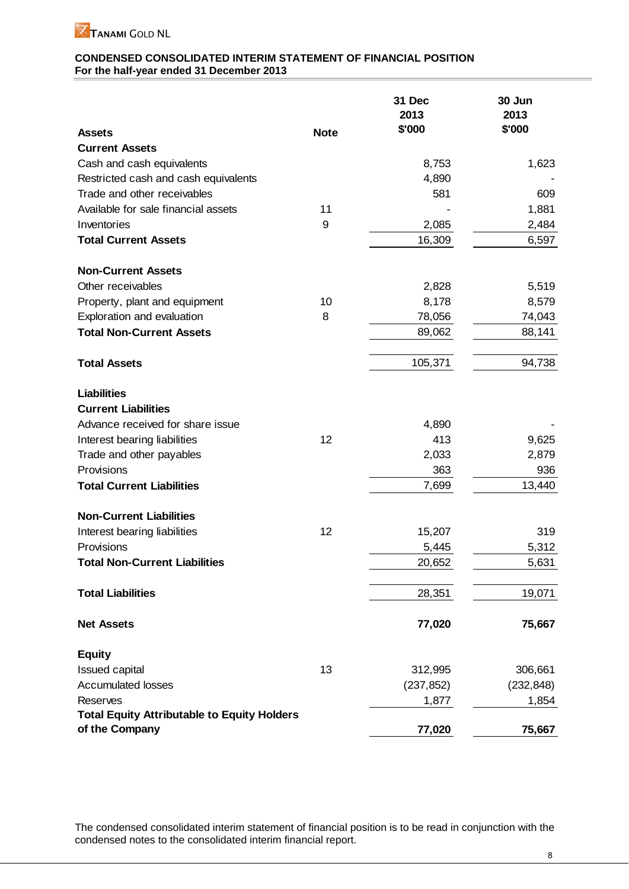

## **CONDENSED CONSOLIDATED INTERIM STATEMENT OF FINANCIAL POSITION For the half-year ended 31 December 2013**

|                                                    | <b>Note</b> | 31 Dec<br>2013<br>\$'000 | 30 Jun<br>2013<br>\$'000 |
|----------------------------------------------------|-------------|--------------------------|--------------------------|
| <b>Assets</b><br><b>Current Assets</b>             |             |                          |                          |
| Cash and cash equivalents                          |             | 8,753                    | 1,623                    |
| Restricted cash and cash equivalents               |             | 4,890                    |                          |
| Trade and other receivables                        |             | 581                      | 609                      |
| Available for sale financial assets                | 11          |                          | 1,881                    |
| Inventories                                        | 9           | 2,085                    | 2,484                    |
| <b>Total Current Assets</b>                        |             | 16,309                   | 6,597                    |
| <b>Non-Current Assets</b>                          |             |                          |                          |
| Other receivables                                  |             |                          |                          |
| Property, plant and equipment                      | 10          | 2,828<br>8,178           | 5,519<br>8,579           |
| Exploration and evaluation                         | 8           | 78,056                   | 74,043                   |
| <b>Total Non-Current Assets</b>                    |             | 89,062                   | 88,141                   |
|                                                    |             |                          |                          |
| <b>Total Assets</b>                                |             | 105,371                  | 94,738                   |
| <b>Liabilities</b>                                 |             |                          |                          |
| <b>Current Liabilities</b>                         |             |                          |                          |
| Advance received for share issue                   |             | 4,890                    |                          |
| Interest bearing liabilities                       | 12          | 413                      | 9,625                    |
| Trade and other payables                           |             | 2,033                    | 2,879                    |
| Provisions                                         |             | 363                      | 936                      |
| <b>Total Current Liabilities</b>                   |             | 7,699                    | 13,440                   |
| <b>Non-Current Liabilities</b>                     |             |                          |                          |
| Interest bearing liabilities                       | 12          | 15,207                   | 319                      |
| Provisions                                         |             | 5,445                    | 5,312                    |
| <b>Total Non-Current Liabilities</b>               |             | 20,652                   | 5,631                    |
| <b>Total Liabilities</b>                           |             | 28,351                   | 19,071                   |
| <b>Net Assets</b>                                  |             | 77,020                   | 75,667                   |
| <b>Equity</b>                                      |             |                          |                          |
| Issued capital                                     | 13          | 312,995                  | 306,661                  |
| <b>Accumulated losses</b>                          |             | (237, 852)               | (232, 848)               |
| <b>Reserves</b>                                    |             | 1,877                    | 1,854                    |
| <b>Total Equity Attributable to Equity Holders</b> |             |                          |                          |
| of the Company                                     |             | 77,020                   | 75,667                   |

The condensed consolidated interim statement of financial position is to be read in conjunction with the condensed notes to the consolidated interim financial report.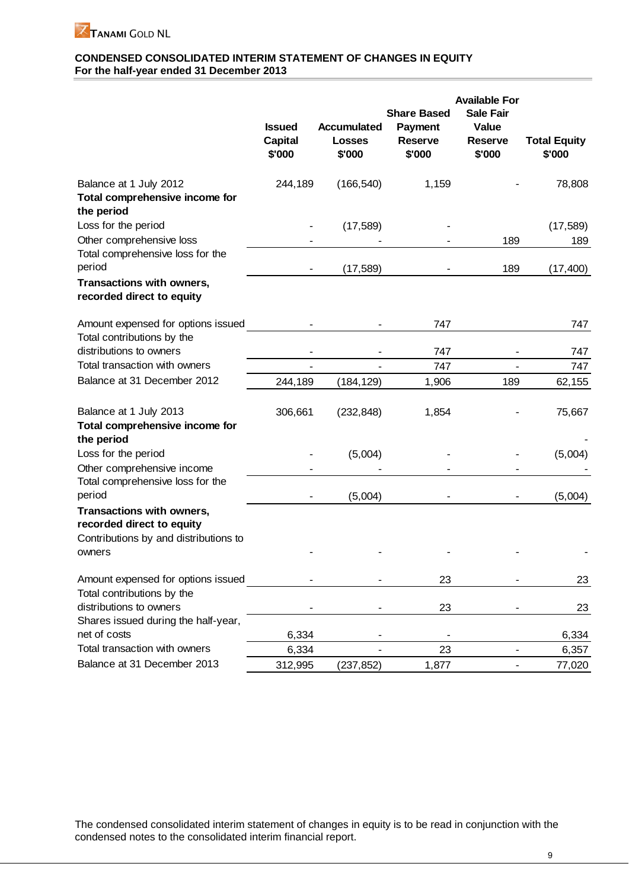

## **CONDENSED CONSOLIDATED INTERIM STATEMENT OF CHANGES IN EQUITY For the half-year ended 31 December 2013**

|                                                                        | <b>Issued</b><br><b>Capital</b><br>\$'000 | Accumulated<br><b>Losses</b><br>\$'000 | <b>Share Based</b><br><b>Payment</b><br><b>Reserve</b><br>\$'000 | <b>Available For</b><br><b>Sale Fair</b><br><b>Value</b><br><b>Reserve</b><br>\$'000 | <b>Total Equity</b><br>\$'000 |
|------------------------------------------------------------------------|-------------------------------------------|----------------------------------------|------------------------------------------------------------------|--------------------------------------------------------------------------------------|-------------------------------|
| Balance at 1 July 2012<br>Total comprehensive income for<br>the period | 244,189                                   | (166, 540)                             | 1,159                                                            |                                                                                      | 78,808                        |
| Loss for the period                                                    |                                           | (17, 589)                              |                                                                  |                                                                                      | (17, 589)                     |
| Other comprehensive loss<br>Total comprehensive loss for the           |                                           |                                        |                                                                  | 189                                                                                  | 189                           |
| period                                                                 |                                           | (17, 589)                              |                                                                  | 189                                                                                  | (17, 400)                     |
| Transactions with owners,<br>recorded direct to equity                 |                                           |                                        |                                                                  |                                                                                      |                               |
| Amount expensed for options issued                                     |                                           |                                        | 747                                                              |                                                                                      | 747                           |
| Total contributions by the                                             |                                           |                                        |                                                                  |                                                                                      |                               |
| distributions to owners                                                |                                           |                                        | 747                                                              |                                                                                      | 747                           |
| Total transaction with owners                                          |                                           |                                        | 747                                                              |                                                                                      | 747                           |
| Balance at 31 December 2012                                            | 244,189                                   | (184, 129)                             | 1,906                                                            | 189                                                                                  | 62,155                        |
| Balance at 1 July 2013                                                 | 306,661                                   | (232, 848)                             | 1,854                                                            |                                                                                      | 75,667                        |
| Total comprehensive income for<br>the period                           |                                           |                                        |                                                                  |                                                                                      |                               |
| Loss for the period                                                    |                                           | (5,004)                                |                                                                  |                                                                                      | (5,004)                       |
| Other comprehensive income                                             |                                           |                                        |                                                                  |                                                                                      |                               |
| Total comprehensive loss for the<br>period                             |                                           |                                        |                                                                  |                                                                                      |                               |
| Transactions with owners,                                              |                                           | (5,004)                                |                                                                  |                                                                                      | (5,004)                       |
| recorded direct to equity                                              |                                           |                                        |                                                                  |                                                                                      |                               |
| Contributions by and distributions to                                  |                                           |                                        |                                                                  |                                                                                      |                               |
| owners                                                                 |                                           |                                        |                                                                  |                                                                                      |                               |
| Amount expensed for options issued                                     |                                           |                                        | 23                                                               |                                                                                      | 23                            |
| Total contributions by the                                             |                                           |                                        |                                                                  |                                                                                      |                               |
| distributions to owners                                                |                                           |                                        | 23                                                               |                                                                                      | 23                            |
| Shares issued during the half-year,                                    |                                           |                                        |                                                                  |                                                                                      |                               |
| net of costs<br>Total transaction with owners                          | 6,334                                     |                                        |                                                                  |                                                                                      | 6,334                         |
|                                                                        | 6,334                                     |                                        | 23                                                               |                                                                                      | 6,357                         |
| Balance at 31 December 2013                                            | 312,995                                   | (237, 852)                             | 1,877                                                            |                                                                                      | 77,020                        |

The condensed consolidated interim statement of changes in equity is to be read in conjunction with the condensed notes to the consolidated interim financial report.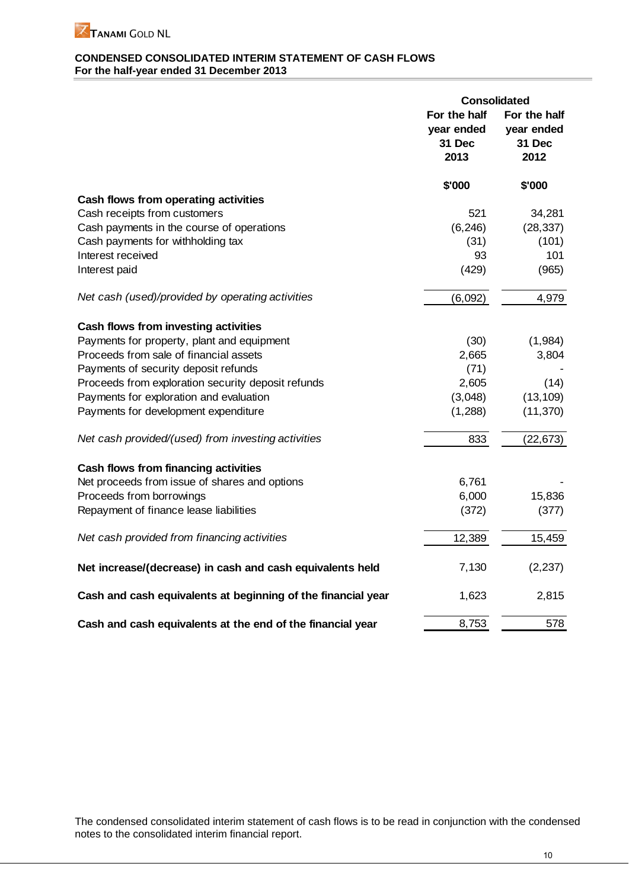

## **CONDENSED CONSOLIDATED INTERIM STATEMENT OF CASH FLOWS For the half-year ended 31 December 2013**

|                                                              | <b>Consolidated</b>                          |                                              |
|--------------------------------------------------------------|----------------------------------------------|----------------------------------------------|
|                                                              | For the half<br>year ended<br>31 Dec<br>2013 | For the half<br>year ended<br>31 Dec<br>2012 |
|                                                              | \$'000                                       | \$'000                                       |
| Cash flows from operating activities                         |                                              |                                              |
| Cash receipts from customers                                 | 521                                          | 34,281                                       |
| Cash payments in the course of operations                    | (6, 246)                                     | (28, 337)                                    |
| Cash payments for withholding tax                            | (31)                                         | (101)                                        |
| Interest received                                            | 93                                           | 101                                          |
| Interest paid                                                | (429)                                        | (965)                                        |
| Net cash (used)/provided by operating activities             | (6,092)                                      | 4,979                                        |
| Cash flows from investing activities                         |                                              |                                              |
| Payments for property, plant and equipment                   | (30)                                         | (1,984)                                      |
| Proceeds from sale of financial assets                       | 2,665                                        | 3,804                                        |
| Payments of security deposit refunds                         | (71)                                         |                                              |
| Proceeds from exploration security deposit refunds           | 2,605                                        | (14)                                         |
| Payments for exploration and evaluation                      | (3,048)                                      | (13, 109)                                    |
| Payments for development expenditure                         | (1,288)                                      | (11, 370)                                    |
| Net cash provided/(used) from investing activities           | 833                                          | (22, 673)                                    |
| Cash flows from financing activities                         |                                              |                                              |
| Net proceeds from issue of shares and options                | 6,761                                        |                                              |
| Proceeds from borrowings                                     | 6,000                                        | 15,836                                       |
| Repayment of finance lease liabilities                       | (372)                                        | (377)                                        |
| Net cash provided from financing activities                  | 12,389                                       | 15,459                                       |
| Net increase/(decrease) in cash and cash equivalents held    | 7,130                                        | (2, 237)                                     |
| Cash and cash equivalents at beginning of the financial year | 1,623                                        | 2,815                                        |
| Cash and cash equivalents at the end of the financial year   | 8,753                                        | 578                                          |

The condensed consolidated interim statement of cash flows is to be read in conjunction with the condensed notes to the consolidated interim financial report.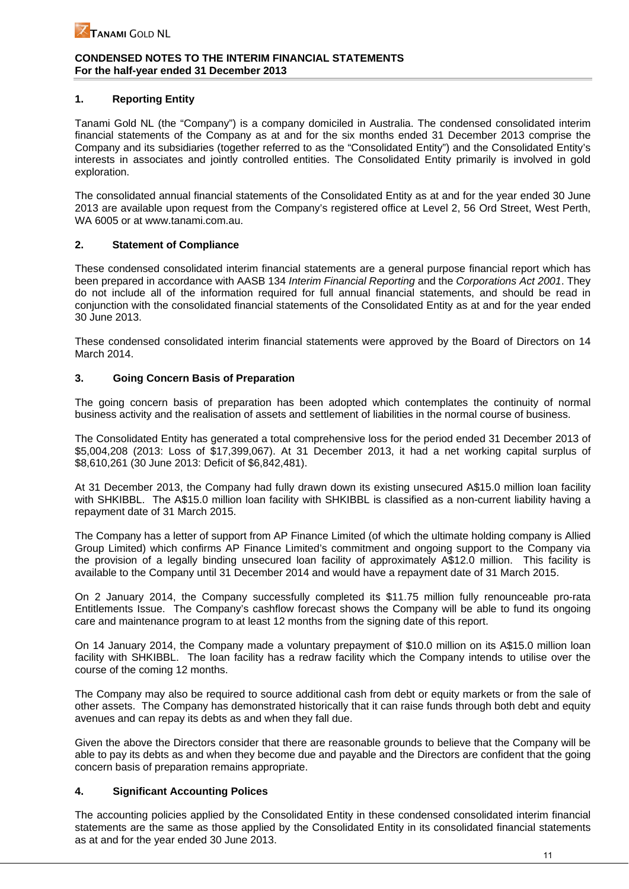# **1. Reporting Entity**

Tanami Gold NL (the "Company") is a company domiciled in Australia. The condensed consolidated interim financial statements of the Company as at and for the six months ended 31 December 2013 comprise the Company and its subsidiaries (together referred to as the "Consolidated Entity") and the Consolidated Entity's interests in associates and jointly controlled entities. The Consolidated Entity primarily is involved in gold exploration.

The consolidated annual financial statements of the Consolidated Entity as at and for the year ended 30 June 2013 are available upon request from the Company's registered office at Level 2, 56 Ord Street, West Perth, WA 6005 or at www.tanami.com.au.

## **2. Statement of Compliance**

These condensed consolidated interim financial statements are a general purpose financial report which has been prepared in accordance with AASB 134 *Interim Financial Reporting* and the *Corporations Act 2001*. They do not include all of the information required for full annual financial statements, and should be read in conjunction with the consolidated financial statements of the Consolidated Entity as at and for the year ended 30 June 2013.

These condensed consolidated interim financial statements were approved by the Board of Directors on 14 March 2014.

## **3. Going Concern Basis of Preparation**

The going concern basis of preparation has been adopted which contemplates the continuity of normal business activity and the realisation of assets and settlement of liabilities in the normal course of business.

The Consolidated Entity has generated a total comprehensive loss for the period ended 31 December 2013 of \$5,004,208 (2013: Loss of \$17,399,067). At 31 December 2013, it had a net working capital surplus of \$8,610,261 (30 June 2013: Deficit of \$6,842,481).

At 31 December 2013, the Company had fully drawn down its existing unsecured A\$15.0 million loan facility with SHKIBBL. The A\$15.0 million loan facility with SHKIBBL is classified as a non-current liability having a repayment date of 31 March 2015.

The Company has a letter of support from AP Finance Limited (of which the ultimate holding company is Allied Group Limited) which confirms AP Finance Limited's commitment and ongoing support to the Company via the provision of a legally binding unsecured loan facility of approximately A\$12.0 million. This facility is available to the Company until 31 December 2014 and would have a repayment date of 31 March 2015.

On 2 January 2014, the Company successfully completed its \$11.75 million fully renounceable pro-rata Entitlements Issue. The Company's cashflow forecast shows the Company will be able to fund its ongoing care and maintenance program to at least 12 months from the signing date of this report.

On 14 January 2014, the Company made a voluntary prepayment of \$10.0 million on its A\$15.0 million loan facility with SHKIBBL. The loan facility has a redraw facility which the Company intends to utilise over the course of the coming 12 months.

The Company may also be required to source additional cash from debt or equity markets or from the sale of other assets. The Company has demonstrated historically that it can raise funds through both debt and equity avenues and can repay its debts as and when they fall due.

Given the above the Directors consider that there are reasonable grounds to believe that the Company will be able to pay its debts as and when they become due and payable and the Directors are confident that the going concern basis of preparation remains appropriate.

# **4. Significant Accounting Polices**

The accounting policies applied by the Consolidated Entity in these condensed consolidated interim financial statements are the same as those applied by the Consolidated Entity in its consolidated financial statements as at and for the year ended 30 June 2013.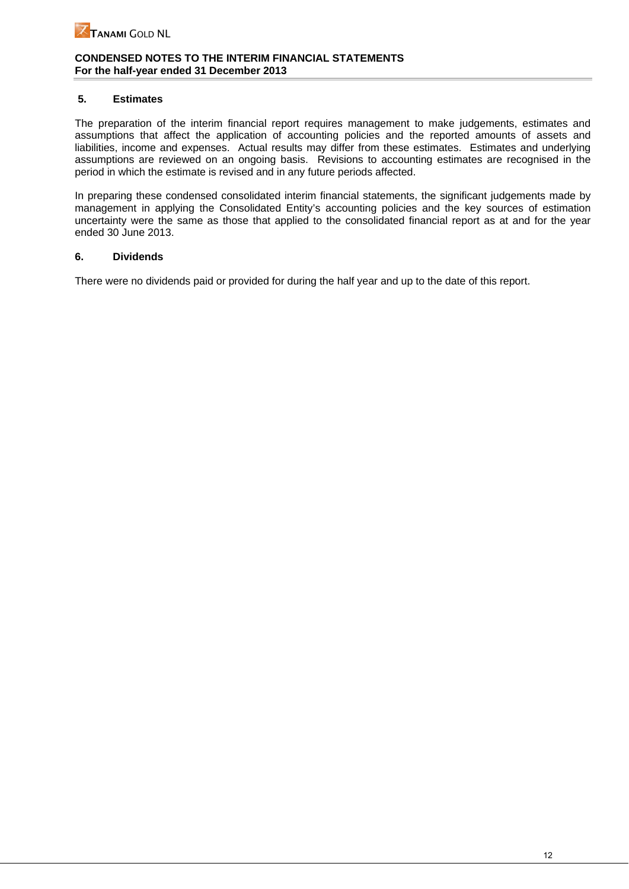# **5. Estimates**

The preparation of the interim financial report requires management to make judgements, estimates and assumptions that affect the application of accounting policies and the reported amounts of assets and liabilities, income and expenses. Actual results may differ from these estimates. Estimates and underlying assumptions are reviewed on an ongoing basis. Revisions to accounting estimates are recognised in the period in which the estimate is revised and in any future periods affected.

In preparing these condensed consolidated interim financial statements, the significant judgements made by management in applying the Consolidated Entity's accounting policies and the key sources of estimation uncertainty were the same as those that applied to the consolidated financial report as at and for the year ended 30 June 2013.

## **6. Dividends**

There were no dividends paid or provided for during the half year and up to the date of this report.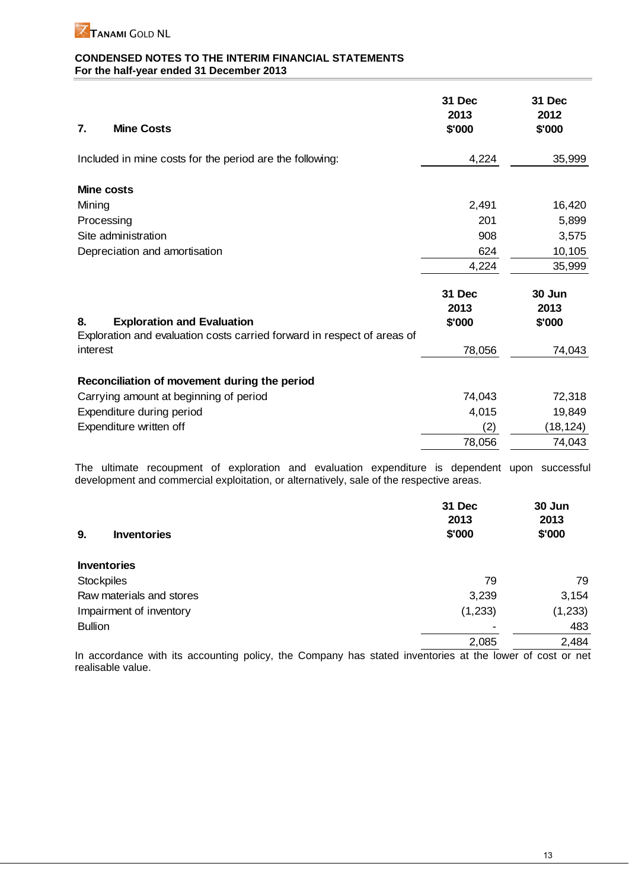

| <b>Mine Costs</b><br>7.                                                 | 31 Dec<br>2013<br>\$'000 | 31 Dec<br>2012<br>\$'000 |
|-------------------------------------------------------------------------|--------------------------|--------------------------|
| Included in mine costs for the period are the following:                | 4,224                    | 35,999                   |
| <b>Mine costs</b>                                                       |                          |                          |
| Mining                                                                  | 2,491                    | 16,420                   |
| Processing                                                              | 201                      | 5,899                    |
| Site administration                                                     | 908                      | 3,575                    |
| Depreciation and amortisation                                           | 624                      | 10,105                   |
|                                                                         | 4,224                    | 35,999                   |
| <b>Exploration and Evaluation</b><br>8.                                 | 31 Dec<br>2013<br>\$'000 | 30 Jun<br>2013<br>\$'000 |
| Exploration and evaluation costs carried forward in respect of areas of |                          |                          |
| interest                                                                | 78,056                   | 74,043                   |
| Reconciliation of movement during the period                            |                          |                          |
| Carrying amount at beginning of period                                  | 74,043                   | 72,318                   |
| Expenditure during period                                               | 4,015                    | 19,849                   |
| Expenditure written off                                                 | (2)                      | (18,124)                 |
|                                                                         | 78,056                   | 74,043                   |

The ultimate recoupment of exploration and evaluation expenditure is dependent upon successful development and commercial exploitation, or alternatively, sale of the respective areas.

| 9.<br><b>Inventories</b> | 31 Dec<br>2013<br>\$'000 | 30 Jun<br>2013<br>\$'000 |
|--------------------------|--------------------------|--------------------------|
| <b>Inventories</b>       |                          |                          |
| <b>Stockpiles</b>        | 79                       | 79                       |
| Raw materials and stores | 3,239                    | 3,154                    |
| Impairment of inventory  | (1,233)                  | (1, 233)                 |
| <b>Bullion</b>           |                          | 483                      |
|                          | 2,085                    | 2,484                    |

In accordance with its accounting policy, the Company has stated inventories at the lower of cost or net realisable value.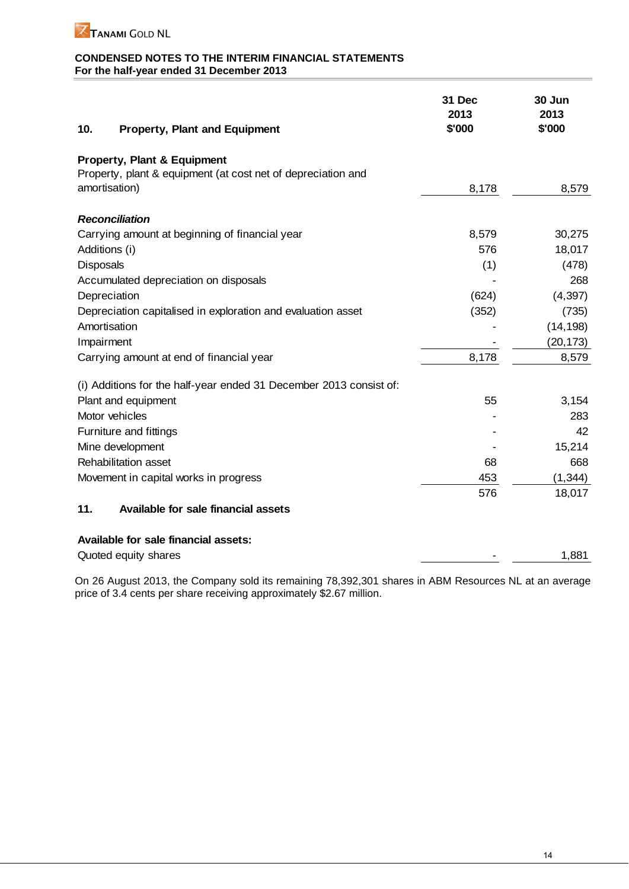

| 10.<br><b>Property, Plant and Equipment</b>                        | 31 Dec<br>2013<br>\$'000 | 30 Jun<br>2013<br>\$'000 |
|--------------------------------------------------------------------|--------------------------|--------------------------|
| Property, Plant & Equipment                                        |                          |                          |
| Property, plant & equipment (at cost net of depreciation and       |                          |                          |
| amortisation)                                                      | 8,178                    | 8,579                    |
| <b>Reconciliation</b>                                              |                          |                          |
| Carrying amount at beginning of financial year                     | 8,579                    | 30,275                   |
| Additions (i)                                                      | 576                      | 18,017                   |
| Disposals                                                          | (1)                      | (478)                    |
| Accumulated depreciation on disposals                              |                          | 268                      |
| Depreciation                                                       | (624)                    | (4, 397)                 |
| Depreciation capitalised in exploration and evaluation asset       | (352)                    | (735)                    |
| Amortisation                                                       |                          | (14, 198)                |
| Impairment                                                         |                          | (20, 173)                |
| Carrying amount at end of financial year                           | 8,178                    | 8,579                    |
| (i) Additions for the half-year ended 31 December 2013 consist of: |                          |                          |
| Plant and equipment                                                | 55                       | 3,154                    |
| Motor vehicles                                                     |                          | 283                      |
| Furniture and fittings                                             |                          | 42                       |
| Mine development                                                   |                          | 15,214                   |
| Rehabilitation asset                                               | 68                       | 668                      |
| Movement in capital works in progress                              | 453                      | (1, 344)                 |
|                                                                    | 576                      | 18,017                   |
| Available for sale financial assets<br>11.                         |                          |                          |
| Available for sale financial assets:                               |                          |                          |
| Quoted equity shares                                               |                          | 1,881                    |

On 26 August 2013, the Company sold its remaining 78,392,301 shares in ABM Resources NL at an average price of 3.4 cents per share receiving approximately \$2.67 million.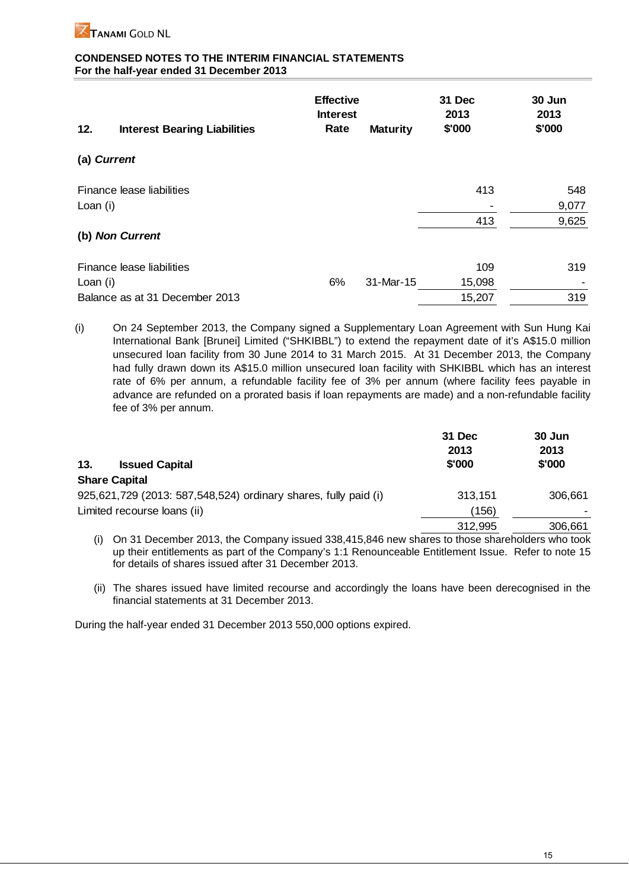

| 12.         | <b>Interest Bearing Liabilities</b> | <b>Effective</b><br><b>Interest</b><br>Rate | <b>Maturity</b> | 31 Dec<br>2013<br>\$'000 | 30 Jun<br>2013<br>\$'000 |
|-------------|-------------------------------------|---------------------------------------------|-----------------|--------------------------|--------------------------|
| (a) Current |                                     |                                             |                 |                          |                          |
|             | Finance lease liabilities           |                                             |                 | 413                      | 548                      |
| Loan (i)    |                                     |                                             |                 |                          | 9,077                    |
|             |                                     |                                             |                 | 413                      | 9,625                    |
|             | (b) Non Current                     |                                             |                 |                          |                          |
|             | Finance lease liabilities           |                                             |                 | 109                      | 319                      |
| Loan (i)    |                                     | 6%                                          | 31-Mar-15       | 15,098                   |                          |
|             | Balance as at 31 December 2013      |                                             |                 | 15,207                   | 319                      |

(i) On 24 September 2013, the Company signed a Supplementary Loan Agreement with Sun Hung Kai International Bank [Brunei] Limited ("SHKIBBL") to extend the repayment date of it's A\$15.0 million unsecured loan facility from 30 June 2014 to 31 March 2015. At 31 December 2013, the Company had fully drawn down its A\$15.0 million unsecured loan facility with SHKIBBL which has an interest rate of 6% per annum, a refundable facility fee of 3% per annum (where facility fees payable in advance are refunded on a prorated basis if loan repayments are made) and a non-refundable facility fee of 3% per annum.

|                                                                 | 31 Dec<br>2013 | 30 Jun<br>2013 |
|-----------------------------------------------------------------|----------------|----------------|
| 13.<br><b>Issued Capital</b>                                    | \$'000         | \$'000         |
| <b>Share Capital</b>                                            |                |                |
| 925,621,729 (2013: 587,548,524) ordinary shares, fully paid (i) | 313,151        | 306,661        |
| Limited recourse loans (ii)                                     | (156)          |                |
|                                                                 | 312,995        | 306,661        |

(i) On 31 December 2013, the Company issued 338,415,846 new shares to those shareholders who took up their entitlements as part of the Company's 1:1 Renounceable Entitlement Issue. Refer to note 15 for details of shares issued after 31 December 2013.

(ii) The shares issued have limited recourse and accordingly the loans have been derecognised in the financial statements at 31 December 2013.

During the half-year ended 31 December 2013 550,000 options expired.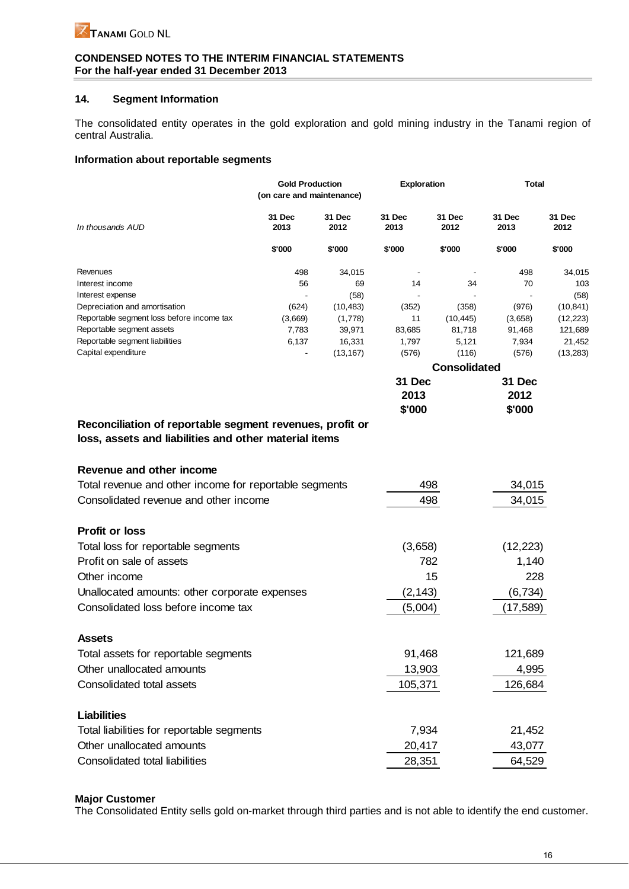## **14. Segment Information**

The consolidated entity operates in the gold exploration and gold mining industry in the Tanami region of central Australia.

## **Information about reportable segments**

|                                           | <b>Gold Production</b><br>(on care and maintenance) |                | <b>Exploration</b>  |                | <b>Total</b>   |                |
|-------------------------------------------|-----------------------------------------------------|----------------|---------------------|----------------|----------------|----------------|
| In thousands AUD                          | 31 Dec<br>2013                                      | 31 Dec<br>2012 | 31 Dec<br>2013      | 31 Dec<br>2012 | 31 Dec<br>2013 | 31 Dec<br>2012 |
|                                           | \$'000                                              | \$'000         | \$'000              | \$'000         | \$'000         | \$'000         |
| Revenues                                  | 498                                                 | 34,015         |                     |                | 498            | 34,015         |
| Interest income                           | 56                                                  | 69             | 14                  | 34             | 70             | 103            |
| Interest expense                          |                                                     | (58)           |                     |                |                | (58)           |
| Depreciation and amortisation             | (624)                                               | (10, 483)      | (352)               | (358)          | (976)          | (10, 841)      |
| Reportable segment loss before income tax | (3,669)                                             | (1,778)        | 11                  | (10, 445)      | (3,658)        | (12, 223)      |
| Reportable segment assets                 | 7,783                                               | 39,971         | 83,685              | 81,718         | 91,468         | 121,689        |
| Reportable segment liabilities            | 6,137                                               | 16,331         | 1,797               | 5,121          | 7,934          | 21,452         |
| Capital expenditure                       | ٠                                                   | (13, 167)      | (576)               | (116)          | (576)          | (13, 283)      |
|                                           |                                                     |                | <b>Consolidated</b> |                |                |                |
|                                           |                                                     |                | 31 Dec              |                | 31 Dec         |                |
|                                           |                                                     |                | 2013                |                | 2012           |                |

|                                                          | \$'000 |
|----------------------------------------------------------|--------|
| Reconciliation of reportable segment revenues, profit or |        |
|                                                          |        |

**loss, assets and liabilities and other material items**

| Revenue and other income                               |          |           |
|--------------------------------------------------------|----------|-----------|
| Total revenue and other income for reportable segments | 498      | 34,015    |
| Consolidated revenue and other income                  | 498      | 34,015    |
| <b>Profit or loss</b>                                  |          |           |
| Total loss for reportable segments                     | (3,658)  | (12, 223) |
| Profit on sale of assets                               | 782      | 1,140     |
| Other income                                           | 15       | 228       |
| Unallocated amounts: other corporate expenses          | (2, 143) | (6, 734)  |
| Consolidated loss before income tax                    | (5,004)  | (17, 589) |
| <b>Assets</b>                                          |          |           |
| Total assets for reportable segments                   | 91,468   | 121,689   |
| Other unallocated amounts                              | 13,903   | 4,995     |
| Consolidated total assets                              | 105,371  | 126,684   |
| Liabilities                                            |          |           |
| Total liabilities for reportable segments              | 7,934    | 21,452    |
| Other unallocated amounts                              | 20,417   | 43,077    |
| Consolidated total liabilities                         | 28,351   | 64,529    |

# **Major Customer**

The Consolidated Entity sells gold on-market through third parties and is not able to identify the end customer.

**\$'000**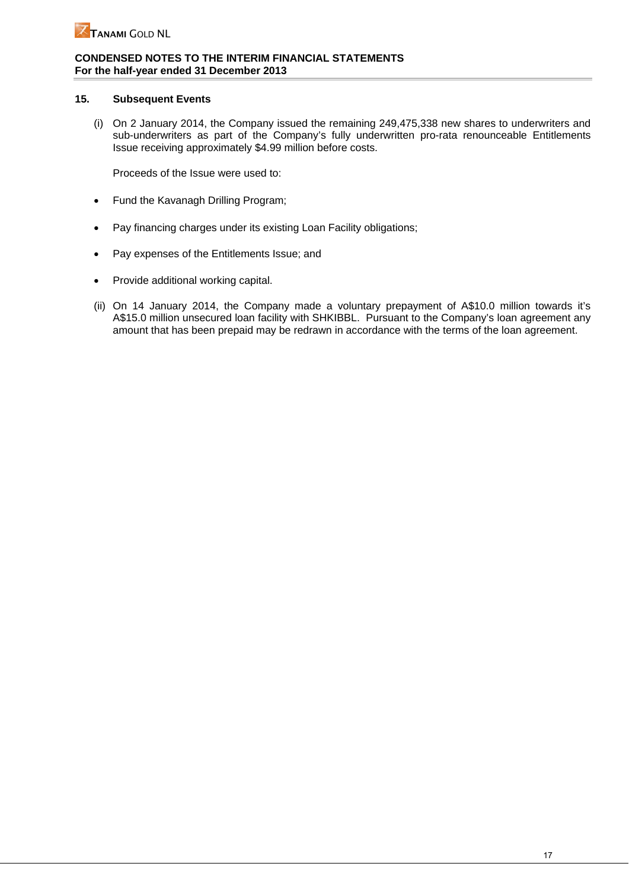## **15. Subsequent Events**

(i) On 2 January 2014, the Company issued the remaining 249,475,338 new shares to underwriters and sub-underwriters as part of the Company's fully underwritten pro-rata renounceable Entitlements Issue receiving approximately \$4.99 million before costs.

Proceeds of the Issue were used to:

- Fund the Kavanagh Drilling Program;
- Pay financing charges under its existing Loan Facility obligations;
- Pay expenses of the Entitlements Issue; and
- Provide additional working capital.
- (ii) On 14 January 2014, the Company made a voluntary prepayment of A\$10.0 million towards it's A\$15.0 million unsecured loan facility with SHKIBBL. Pursuant to the Company's loan agreement any amount that has been prepaid may be redrawn in accordance with the terms of the loan agreement.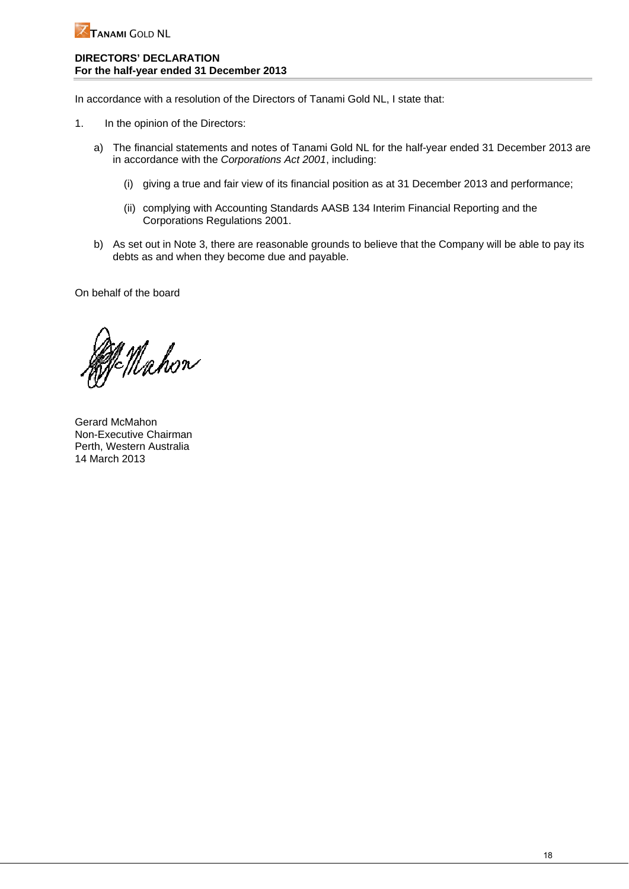

## **DIRECTORS' DECLARATION For the half-year ended 31 December 2013**

In accordance with a resolution of the Directors of Tanami Gold NL, I state that:

- 1. In the opinion of the Directors:
	- a) The financial statements and notes of Tanami Gold NL for the half-year ended 31 December 2013 are in accordance with the *Corporations Act 2001*, including:
		- (i) giving a true and fair view of its financial position as at 31 December 2013 and performance;
		- (ii) complying with Accounting Standards AASB 134 Interim Financial Reporting and the Corporations Regulations 2001.
	- b) As set out in Note 3, there are reasonable grounds to believe that the Company will be able to pay its debts as and when they become due and payable.

On behalf of the board

Mahon

Gerard McMahon Non-Executive Chairman Perth, Western Australia 14 March 2013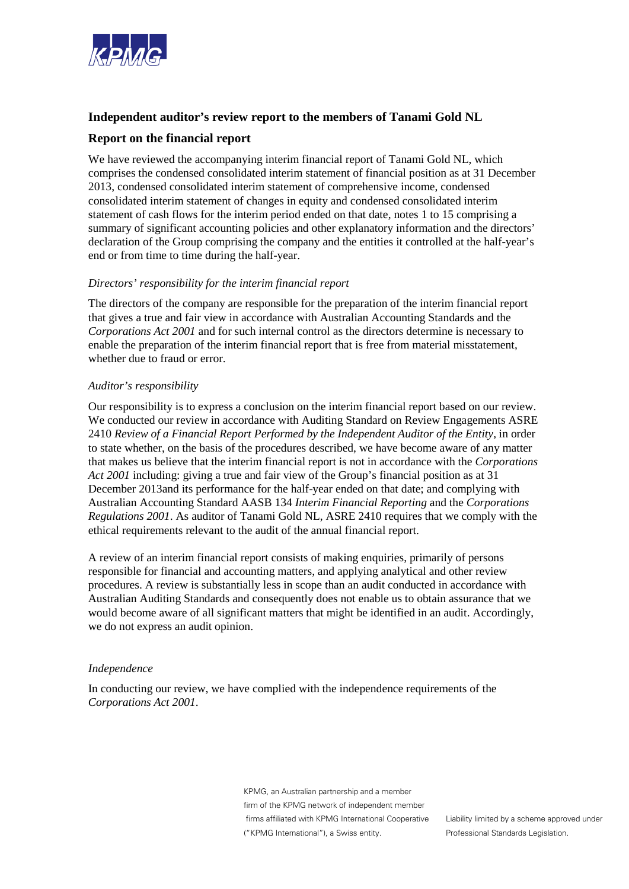

# **Independent auditor's review report to the members of Tanami Gold NL**

# **Report on the financial report**

We have reviewed the accompanying interim financial report of Tanami Gold NL, which comprises the condensed consolidated interim statement of financial position as at 31 December 2013, condensed consolidated interim statement of comprehensive income, condensed consolidated interim statement of changes in equity and condensed consolidated interim statement of cash flows for the interim period ended on that date, notes 1 to 15 comprising a summary of significant accounting policies and other explanatory information and the directors' declaration of the Group comprising the company and the entities it controlled at the half-year's end or from time to time during the half-year.

## *Directors' responsibility for the interim financial report*

The directors of the company are responsible for the preparation of the interim financial report that gives a true and fair view in accordance with Australian Accounting Standards and the *Corporations Act 2001* and for such internal control as the directors determine is necessary to enable the preparation of the interim financial report that is free from material misstatement, whether due to fraud or error.

## *Auditor's responsibility*

Our responsibility is to express a conclusion on the interim financial report based on our review. We conducted our review in accordance with Auditing Standard on Review Engagements ASRE 2410 *Review of a Financial Report Performed by the Independent Auditor of the Entity,* in order to state whether, on the basis of the procedures described, we have become aware of any matter that makes us believe that the interim financial report is not in accordance with the *Corporations Act 2001* including: giving a true and fair view of the Group's financial position as at 31 December 2013and its performance for the half-year ended on that date; and complying with Australian Accounting Standard AASB 134 *Interim Financial Reporting* and the *Corporations Regulations 2001*. As auditor of Tanami Gold NL, ASRE 2410 requires that we comply with the ethical requirements relevant to the audit of the annual financial report.

A review of an interim financial report consists of making enquiries, primarily of persons responsible for financial and accounting matters, and applying analytical and other review procedures. A review is substantially less in scope than an audit conducted in accordance with Australian Auditing Standards and consequently does not enable us to obtain assurance that we would become aware of all significant matters that might be identified in an audit. Accordingly, we do not express an audit opinion.

## *Independence*

In conducting our review, we have complied with the independence requirements of the *Corporations Act 2001*.

> KPMG, an Australian partnership and a member firm of the KPMG network of independent member firms affiliated with KPMG International Cooperative ("KPMG International"), a Swiss entity.

Liability limited by a scheme approved under Professional Standards Legislation.